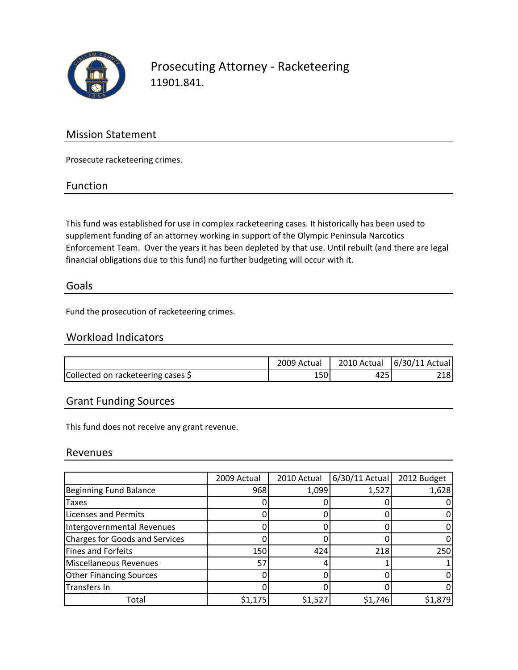

Prosecuting Attorney ‐ Racketeering 11901.841.

## Mission Statement

Prosecute racketeering crimes.

### Function

This fund was established for use in complex racketeering cases. It historically has been used to supplement funding of an attorney working in support of the Olympic Peninsula Narcotics Enforcement Team. Over the years it has been depleted by that use. Until rebuilt (and there are legal financial obligations due to this fund) no further budgeting will occur with it.

### Goals

Fund the prosecution of racketeering crimes.

## Workload Indicators

|                                    | 2009 Actual | 2010 Actual   6/30/11 Actual |
|------------------------------------|-------------|------------------------------|
| Collected on racketeering cases \$ |             | 218                          |

## Grant Funding Sources

This fund does not receive any grant revenue.

### Revenues

|                                | 2009 Actual | 2010 Actual | $6/30/11$ Actual | 2012 Budget |
|--------------------------------|-------------|-------------|------------------|-------------|
| Beginning Fund Balance         | 968         | 1,099       | 1,527            | 1,628       |
| <b>Taxes</b>                   |             |             |                  |             |
| <b>Licenses and Permits</b>    |             |             |                  |             |
| Intergovernmental Revenues     |             |             |                  |             |
| Charges for Goods and Services |             |             |                  |             |
| <b>Fines and Forfeits</b>      | 150         | 424         | 218              | 250         |
| <b>Miscellaneous Revenues</b>  | 57          |             |                  |             |
| <b>Other Financing Sources</b> |             |             |                  |             |
| Transfers In                   |             |             |                  |             |
| Total                          | \$1,175     | \$1,527     | \$1,746          | \$1,879     |